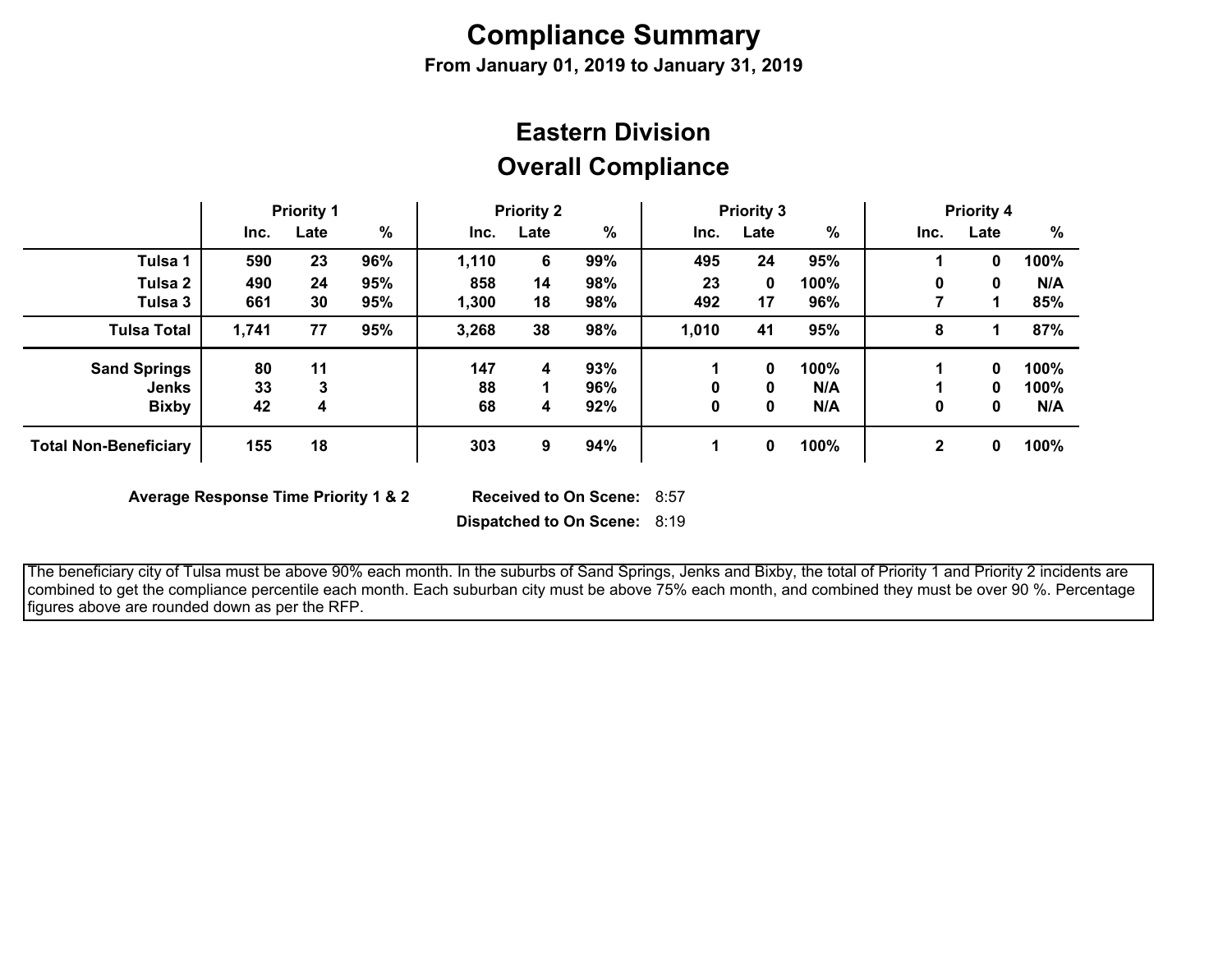# **Compliance Summary**

**From January 01, 2019 to January 31, 2019**

### **Overall Compliance Eastern Division**

|                              | <b>Priority 1</b> |      | <b>Priority 2</b> |       | <b>Priority 3</b> |     |       | <b>Priority 4</b> |      |              |      |      |
|------------------------------|-------------------|------|-------------------|-------|-------------------|-----|-------|-------------------|------|--------------|------|------|
|                              | Inc.              | Late | %                 | Inc.  | Late              | %   | Inc.  | Late              | %    | Inc.         | Late | %    |
| Tulsa 1                      | 590               | 23   | 96%               | 1,110 | 6                 | 99% | 495   | 24                | 95%  |              | 0    | 100% |
| Tulsa 2                      | 490               | 24   | 95%               | 858   | 14                | 98% | 23    | 0                 | 100% | 0            | 0    | N/A  |
| Tulsa 3                      | 661               | 30   | 95%               | 1,300 | 18                | 98% | 492   | 17                | 96%  |              |      | 85%  |
| <b>Tulsa Total</b>           | 1,741             | 77   | 95%               | 3,268 | 38                | 98% | 1,010 | 41                | 95%  | 8            |      | 87%  |
| <b>Sand Springs</b>          | 80                | 11   |                   | 147   | 4                 | 93% |       | 0                 | 100% |              | 0    | 100% |
| Jenks                        | 33                | 3    |                   | 88    |                   | 96% | 0     | 0                 | N/A  |              | 0    | 100% |
| <b>Bixby</b>                 | 42                | 4    |                   | 68    | 4                 | 92% | 0     | 0                 | N/A  | 0            | 0    | N/A  |
| <b>Total Non-Beneficiary</b> | 155               | 18   |                   | 303   | 9                 | 94% |       | 0                 | 100% | $\mathbf{2}$ | 0    | 100% |

**Average Response Time Priority 1 & 2** 

Received to On Scene: 8:57

**Dispatched to On Scene:** 8:19

 The beneficiary city of Tulsa must be above 90% each month. In the suburbs of Sand Springs, Jenks and Bixby, the total of Priority 1 and Priority 2 incidents are combined to get the compliance percentile each month. Each suburban city must be above 75% each month, and combined they must be over 90 %. Percentage figures above are rounded down as per the RFP.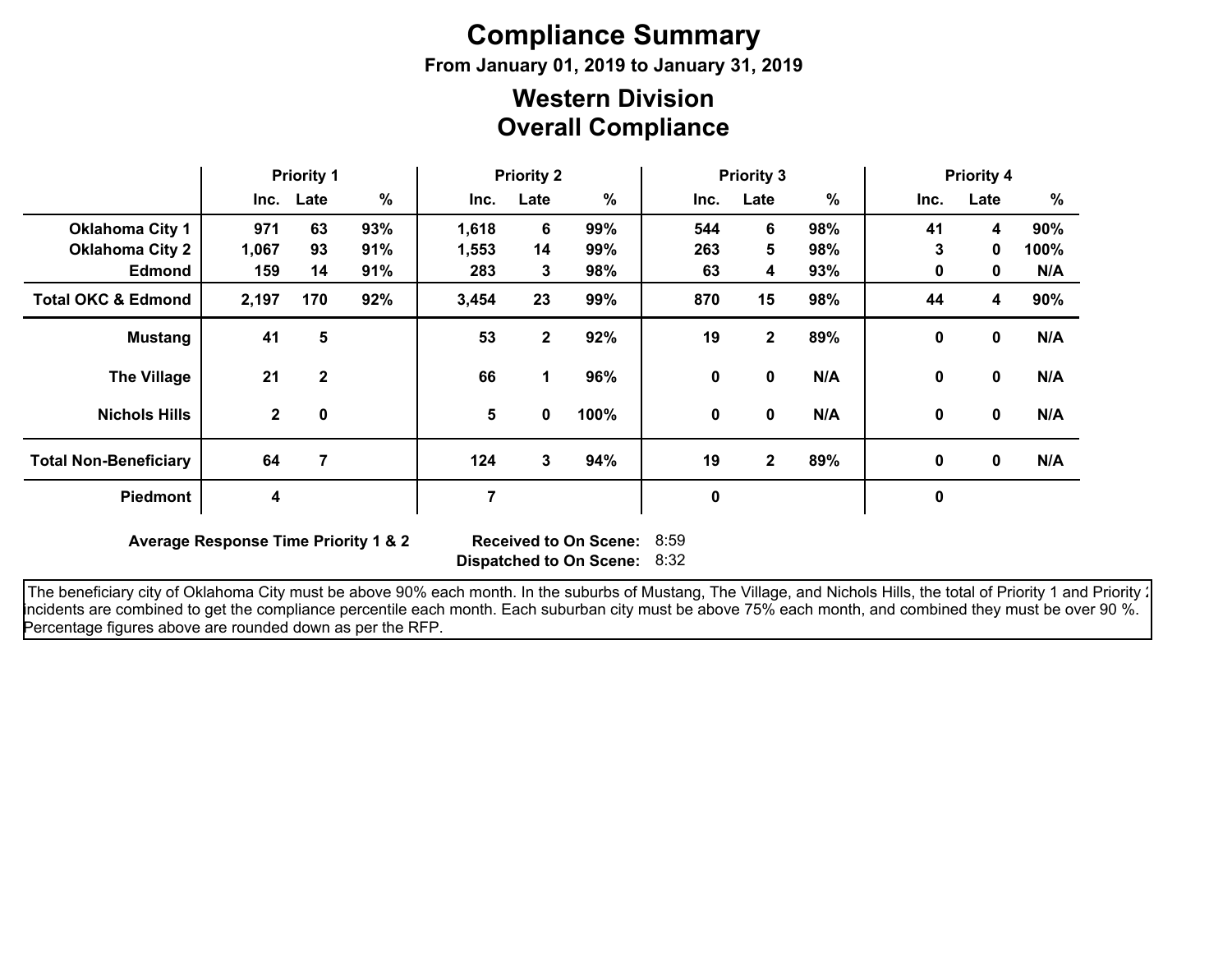# **Compliance Summary**

**From January 01, 2019 to January 31, 2019**

#### **Overall Compliance Western Division**

|                               | <b>Priority 1</b> |              | <b>Priority 2</b> |       |              | <b>Priority 3</b> |             |              |     | <b>Priority 4</b> |              |      |
|-------------------------------|-------------------|--------------|-------------------|-------|--------------|-------------------|-------------|--------------|-----|-------------------|--------------|------|
|                               |                   | Inc. Late    | $\%$              | Inc.  | Late         | $\%$              | Inc.        | Late         | %   | Inc.              | Late         | $\%$ |
| <b>Oklahoma City 1</b>        | 971               | 63           | 93%               | 1,618 | 6            | 99%               | 544         | 6            | 98% | 41                | 4            | 90%  |
| <b>Oklahoma City 2</b>        | 1,067             | 93           | 91%               | 1,553 | 14           | 99%               | 263         | 5            | 98% | 3                 | $\mathbf{0}$ | 100% |
| <b>Edmond</b>                 | 159               | 14           | 91%               | 283   | 3            | 98%               | 63          | 4            | 93% | 0                 | 0            | N/A  |
| <b>Total OKC &amp; Edmond</b> | 2,197             | 170          | 92%               | 3,454 | 23           | 99%               | 870         | 15           | 98% | 44                | 4            | 90%  |
| <b>Mustang</b>                | 41                | 5            |                   | 53    | $\mathbf{2}$ | 92%               | 19          | $\mathbf{2}$ | 89% | $\mathbf 0$       | $\mathbf 0$  | N/A  |
| <b>The Village</b>            | 21                | $\mathbf{2}$ |                   | 66    | 1            | 96%               | 0           | $\mathbf 0$  | N/A | $\mathbf{0}$      | $\mathbf 0$  | N/A  |
| <b>Nichols Hills</b>          | $\mathbf{2}$      | $\mathbf 0$  |                   | 5     | 0            | 100%              | 0           | 0            | N/A | 0                 | 0            | N/A  |
| <b>Total Non-Beneficiary</b>  | 64                | 7            |                   | 124   | 3            | 94%               | 19          | $\mathbf{2}$ | 89% | 0                 | 0            | N/A  |
| <b>Piedmont</b>               | 4                 |              |                   | 7     |              |                   | $\mathbf 0$ |              |     | $\mathbf 0$       |              |      |

**Average Response Time Priority 1 & 2** 

**Dispatched to On Scene:** 8:32 Received to On Scene: 8:59

The beneficiary city of Oklahoma City must be above 90% each month. In the suburbs of Mustang, The Village, and Nichols Hills, the total of Priority 1 and Priority : incidents are combined to get the compliance percentile each month. Each suburban city must be above 75% each month, and combined they must be over 90 %. Percentage figures above are rounded down as per the RFP.